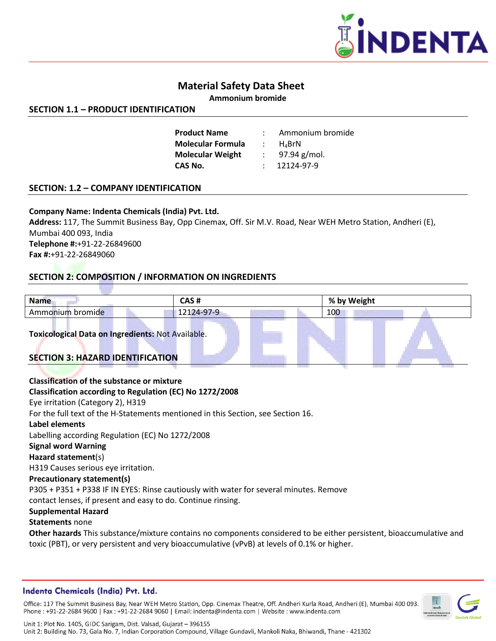

# **Material Safety Data Sheet**

**Ammonium bromide**

## **SECTION 1.1 – PRODUCT IDENTIFICATION**

| <b>Product Name</b>      |               | Ammonium bromide            |
|--------------------------|---------------|-----------------------------|
|                          |               |                             |
| <b>Molecular Formula</b> | $\mathcal{L}$ | $H$ <sub><i>A</i></sub> BrN |
| <b>Molecular Weight</b>  |               | 97.94 g/mol.                |
| CAS No.                  |               | 12124-97-9                  |
|                          |               |                             |

## **SECTION: 1.2 – COMPANY IDENTIFICATION**

## **Company Name: Indenta Chemicals (India) Pvt. Ltd.**

**Address:** 117, The Summit Business Bay, Opp Cinemax, Off. Sir M.V. Road, Near WEH Metro Station, Andheri (E), Mumbai 400 093, India **Telephone #:**+91-22-26849600 **Fax #:**+91-22-26849060

# **SECTION 2: COMPOSITION / INFORMATION ON INGREDIENTS**

| <b>Name</b>                                                                            | CAS#                                                                                                                                                                                                                | % by Weight |  |  |  |
|----------------------------------------------------------------------------------------|---------------------------------------------------------------------------------------------------------------------------------------------------------------------------------------------------------------------|-------------|--|--|--|
| Ammonium bromide                                                                       | 12124-97-9                                                                                                                                                                                                          | 100         |  |  |  |
| Toxicological Data on Ingredients: Not Available.                                      |                                                                                                                                                                                                                     |             |  |  |  |
| <b>SECTION 3: HAZARD IDENTIFICATION</b>                                                |                                                                                                                                                                                                                     |             |  |  |  |
|                                                                                        |                                                                                                                                                                                                                     |             |  |  |  |
| Classification of the substance or mixture                                             |                                                                                                                                                                                                                     |             |  |  |  |
| Classification according to Regulation (EC) No 1272/2008                               |                                                                                                                                                                                                                     |             |  |  |  |
| Eye irritation (Category 2), H319                                                      |                                                                                                                                                                                                                     |             |  |  |  |
|                                                                                        | For the full text of the H-Statements mentioned in this Section, see Section 16.                                                                                                                                    |             |  |  |  |
| Label elements                                                                         |                                                                                                                                                                                                                     |             |  |  |  |
| Labelling according Regulation (EC) No 1272/2008                                       |                                                                                                                                                                                                                     |             |  |  |  |
| <b>Signal word Warning</b>                                                             |                                                                                                                                                                                                                     |             |  |  |  |
| Hazard statement(s)                                                                    |                                                                                                                                                                                                                     |             |  |  |  |
| H319 Causes serious eye irritation.                                                    |                                                                                                                                                                                                                     |             |  |  |  |
| <b>Precautionary statement(s)</b>                                                      |                                                                                                                                                                                                                     |             |  |  |  |
| P305 + P351 + P338 IF IN EYES: Rinse cautiously with water for several minutes. Remove |                                                                                                                                                                                                                     |             |  |  |  |
| contact lenses, if present and easy to do. Continue rinsing.                           |                                                                                                                                                                                                                     |             |  |  |  |
| <b>Supplemental Hazard</b><br><b>Statements none</b>                                   | Other hazards This substance/mixture contains no components considered to be either persistent, bioaccumulative and<br>toxic (PBT), or very persistent and very bioaccumulative (vPvB) at levels of 0.1% or higher. |             |  |  |  |

## **Indenta Chemicals (India) Pvt. Ltd.**

Office: 117 The Summit Business Bay, Near WEH Metro Station, Opp. Cinemax Theatre, Off. Andheri Kurla Road, Andheri (E), Mumbai 400 093. Phone: +91-22-2684 9600 | Fax: +91-22-2684 9060 | Email: indenta@indenta.com | Website: www.indenta.com

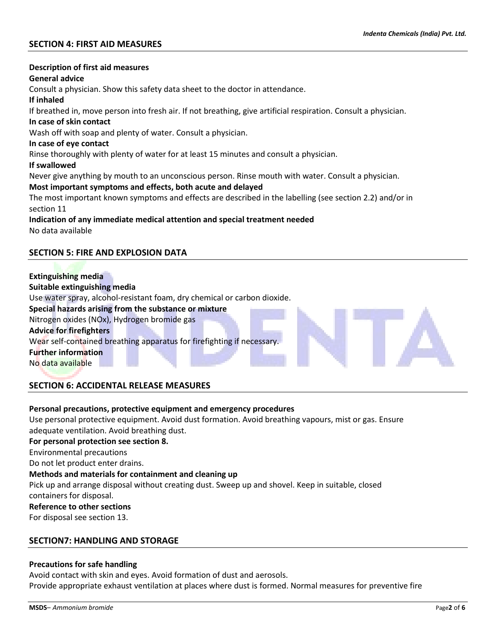## **SECTION 4: FIRST AID MEASURES**

# **Description of first aid measures General advice** Consult a physician. Show this safety data sheet to the doctor in attendance. **If inhaled** If breathed in, move person into fresh air. If not breathing, give artificial respiration. Consult a physician. **In case of skin contact** Wash off with soap and plenty of water. Consult a physician. **In case of eye contact** Rinse thoroughly with plenty of water for at least 15 minutes and consult a physician. **If swallowed** Never give anything by mouth to an unconscious person. Rinse mouth with water. Consult a physician. **Most important symptoms and effects, both acute and delayed** The most important known symptoms and effects are described in the labelling (see section 2.2) and/or in section 11 **Indication of any immediate medical attention and special treatment needed** No data available **SECTION 5: FIRE AND EXPLOSION DATA**

# **Extinguishing media Suitable extinguishing media** Use water spray, alcohol-resistant foam, dry chemical or carbon dioxide. **Special hazards arising from the substance or mixture** Nitrogen oxides (NOx), Hydrogen bromide gas **Advice for firefighters** Wear self-contained breathing apparatus for firefighting if necessary. **Further information** No data available

## **SECTION 6: ACCIDENTAL RELEASE MEASURES**

#### **Personal precautions, protective equipment and emergency procedures**

Use personal protective equipment. Avoid dust formation. Avoid breathing vapours, mist or gas. Ensure adequate ventilation. Avoid breathing dust.

#### **For personal protection see section 8.**

Environmental precautions

Do not let product enter drains.

#### **Methods and materials for containment and cleaning up**

Pick up and arrange disposal without creating dust. Sweep up and shovel. Keep in suitable, closed containers for disposal.

#### **Reference to other sections**

For disposal see section 13.

#### **SECTION7: HANDLING AND STORAGE**

#### **Precautions for safe handling**

Avoid contact with skin and eyes. Avoid formation of dust and aerosols. Provide appropriate exhaust ventilation at places where dust is formed. Normal measures for preventive fire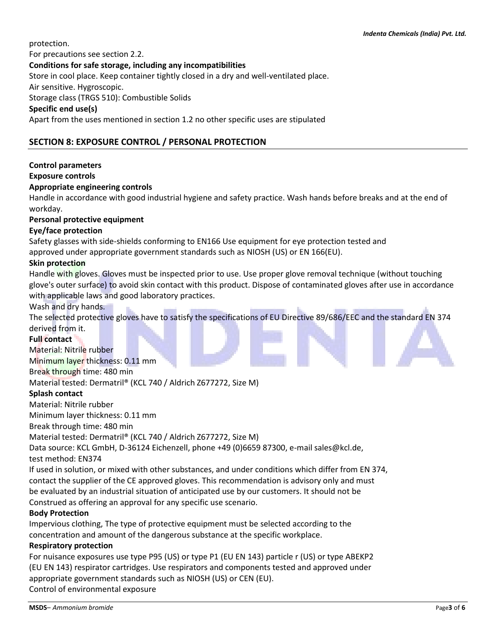protection.

For precautions see section 2.2.

## **Conditions for safe storage, including any incompatibilities**

Store in cool place. Keep container tightly closed in a dry and well-ventilated place.

Air sensitive. Hygroscopic.

Storage class (TRGS 510): Combustible Solids

### **Specific end use(s)**

Apart from the uses mentioned in section 1.2 no other specific uses are stipulated

# **SECTION 8: EXPOSURE CONTROL / PERSONAL PROTECTION**

## **Control parameters**

#### **Exposure controls**

## **Appropriate engineering controls**

Handle in accordance with good industrial hygiene and safety practice. Wash hands before breaks and at the end of workday.

## **Personal protective equipment**

## **Eye/face protection**

Safety glasses with side-shields conforming to EN166 Use equipment for eye protection tested and

approved under appropriate government standards such as NIOSH (US) or EN 166(EU).

### **Skin protection**

Handle with gloves. Gloves must be inspected prior to use. Use proper glove removal technique (without touching glove's outer surface) to avoid skin contact with this product. Dispose of contaminated gloves after use in accordance with applicable laws and good laboratory practices.

#### Wash and dry hands.

The selected protective gloves have to satisfy the specifications of EU Directive 89/686/EEC and the standard EN 374 derived from it.

#### **Full contact**

Material: Nitrile rubber Minimum layer thickness: 0.11 mm Break through time: 480 min Material tested: Dermatril® (KCL 740 / Aldrich Z677272, Size M)

## **Splash contact**

Material: Nitrile rubber

Minimum layer thickness: 0.11 mm

Break through time: 480 min

Material tested: Dermatril® (KCL 740 / Aldrich Z677272, Size M)

Data source: KCL GmbH, D-36124 Eichenzell, phone +49 (0)6659 87300, e-mail sales@kcl.de, test method: EN374

If used in solution, or mixed with other substances, and under conditions which differ from EN 374, contact the supplier of the CE approved gloves. This recommendation is advisory only and must be evaluated by an industrial situation of anticipated use by our customers. It should not be Construed as offering an approval for any specific use scenario.

## **Body Protection**

Impervious clothing, The type of protective equipment must be selected according to the concentration and amount of the dangerous substance at the specific workplace.

## **Respiratory protection**

For nuisance exposures use type P95 (US) or type P1 (EU EN 143) particle r (US) or type ABEKP2 (EU EN 143) respirator cartridges. Use respirators and components tested and approved under appropriate government standards such as NIOSH (US) or CEN (EU). Control of environmental exposure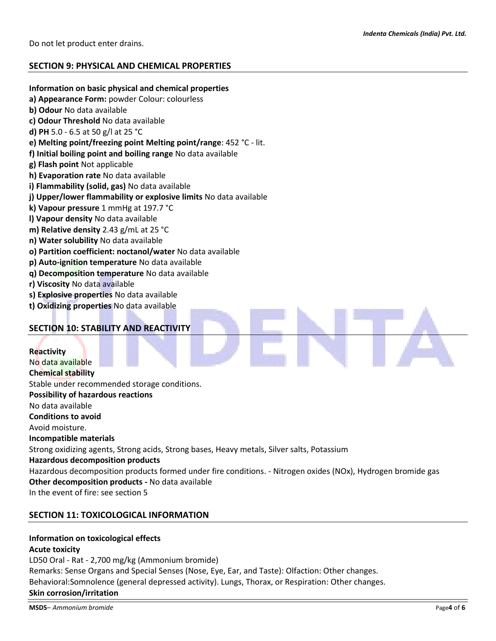## **SECTION 9: PHYSICAL AND CHEMICAL PROPERTIES**

#### **Information on basic physical and chemical properties**

- **a) Appearance Form:** powder Colour: colourless
- **b) Odour** No data available
- **c) Odour Threshold** No data available
- **d) PH** 5.0 6.5 at 50 g/l at 25 °C
- **e) Melting point/freezing point Melting point/range**: 452 °C lit.
- **f) Initial boiling point and boiling range** No data available
- **g) Flash point** Not applicable
- **h) Evaporation rate** No data available
- **i) Flammability (solid, gas)** No data available
- **j) Upper/lower flammability or explosive limits** No data available
- **k) Vapour pressure** 1 mmHg at 197.7 °C
- **l) Vapour density** No data available
- **m) Relative density** 2.43 g/mL at 25 °C
- **n) Water solubility** No data available
- **o) Partition coefficient: noctanol/water** No data available
- **p) Auto-ignition temperature** No data available
- **q) Decomposition temperature** No data available
- **r) Viscosity** No data available
- **s) Explosive properties** No data available
- **t) Oxidizing properties** No data available

## **SECTION 10: STABILITY AND REACTIVITY**

**Reactivity** No data available **Chemical stability** Stable under recommended storage conditions. **Possibility of hazardous reactions** No data available

**Conditions to avoid**

Avoid moisture.

**Incompatible materials**

Strong oxidizing agents, Strong acids, Strong bases, Heavy metals, Silver salts, Potassium

**Hazardous decomposition products**

Hazardous decomposition products formed under fire conditions. - Nitrogen oxides (NOx), Hydrogen bromide gas **Other decomposition products -** No data available

In the event of fire: see section 5

## **SECTION 11: TOXICOLOGICAL INFORMATION**

#### **Information on toxicological effects**

## **Acute toxicity**

LD50 Oral - Rat - 2,700 mg/kg (Ammonium bromide) Remarks: Sense Organs and Special Senses (Nose, Eye, Ear, and Taste): Olfaction: Other changes. Behavioral:Somnolence (general depressed activity). Lungs, Thorax, or Respiration: Other changes. **Skin corrosion/irritation**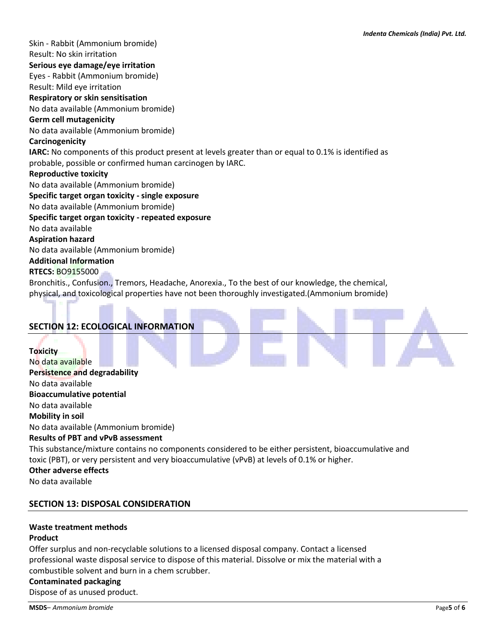a.

Skin - Rabbit (Ammonium bromide) Result: No skin irritation **Serious eye damage/eye irritation** Eyes - Rabbit (Ammonium bromide) Result: Mild eye irritation **Respiratory or skin sensitisation** No data available (Ammonium bromide) **Germ cell mutagenicity** No data available (Ammonium bromide) **Carcinogenicity IARC:** No components of this product present at levels greater than or equal to 0.1% is identified as probable, possible or confirmed human carcinogen by IARC. **Reproductive toxicity** No data available (Ammonium bromide) **Specific target organ toxicity - single exposure** No data available (Ammonium bromide) **Specific target organ toxicity - repeated exposure** No data available **Aspiration hazard** No data available (Ammonium bromide) **Additional Information RTECS:** BO9155000 Bronchitis., Confusion., Tremors, Headache, Anorexia., To the best of our knowledge, the chemical,

physical, and toxicological properties have not been thoroughly investigated.(Ammonium bromide)

| <b>SECTION 12: ECOLOGICAL INFORMATION</b>                                                                                                                                                                                                                  |
|------------------------------------------------------------------------------------------------------------------------------------------------------------------------------------------------------------------------------------------------------------|
| <b>Toxicity</b><br>No data available<br>Persistence and degradability                                                                                                                                                                                      |
| No data available                                                                                                                                                                                                                                          |
| <b>Bioaccumulative potential</b>                                                                                                                                                                                                                           |
| No data available                                                                                                                                                                                                                                          |
| <b>Mobility in soil</b>                                                                                                                                                                                                                                    |
| No data available (Ammonium bromide)                                                                                                                                                                                                                       |
| <b>Results of PBT and vPvB assessment</b>                                                                                                                                                                                                                  |
| This substance/mixture contains no components considered to be either persistent, bioaccumulative and<br>toxic (PBT), or very persistent and very bioaccumulative (vPvB) at levels of 0.1% or higher.<br><b>Other adverse effects</b><br>No data available |

÷.

## **SECTION 13: DISPOSAL CONSIDERATION**

## **Waste treatment methods**

### **Product**

Offer surplus and non-recyclable solutions to a licensed disposal company. Contact a licensed professional waste disposal service to dispose of this material. Dissolve or mix the material with a combustible solvent and burn in a chem scrubber.

#### **Contaminated packaging**

Dispose of as unused product.